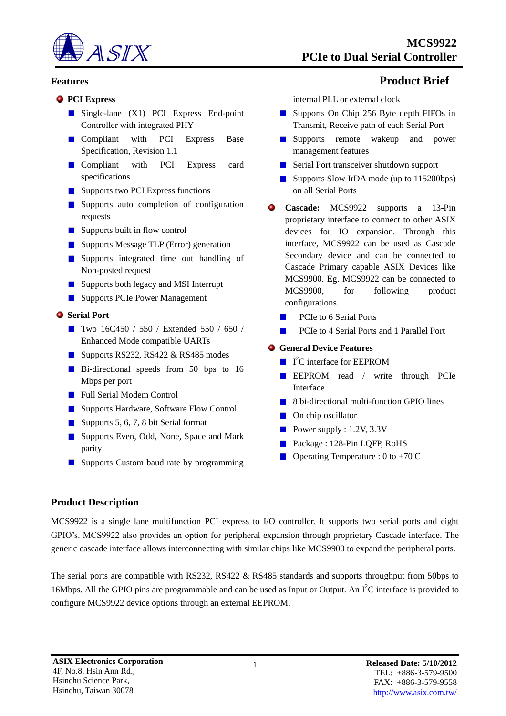

### **Features Product Brief**

#### **PCI Express**

- Single-lane (X1) PCI Express End-point Controller with integrated PHY
- **Compliant** with PCI Express Base Specification, Revision 1.1
- **Compliant** with PCI Express card specifications
- Supports two PCI Express functions
- **Supports** auto completion of configuration requests
- Supports built in flow control
- Supports Message TLP (Error) generation
- **Supports** integrated time out handling of Non-posted request
- Supports both legacy and MSI Interrupt
- Supports PCIe Power Management

# $S$  Serial Port

- Two 16C450 / 550 / Extended 550 / 650 / Enhanced Mode compatible UARTs
- Supports RS232, RS422  $&$  RS485 modes
- Bi-directional speeds from 50 bps to 16 Mbps per port
- **Full Serial Modem Control**
- Supports Hardware, Software Flow Control
- Supports 5, 6, 7, 8 bit Serial format
- Supports Even, Odd, None, Space and Mark parity
- Supports Custom baud rate by programming

internal PLL or external clock

- Supports On Chip 256 Byte depth FIFOs in Transmit, Receive path of each Serial Port
- **Supports** remote wakeup and power management features
- Serial Port transceiver shutdown support
- Supports Slow IrDA mode (up to 115200bps) on all Serial Ports
- **Cascade:** MCS9922 supports a 13-Pin proprietary interface to connect to other ASIX devices for IO expansion. Through this interface, MCS9922 can be used as Cascade Secondary device and can be connected to Cascade Primary capable ASIX Devices like MCS9900. Eg. MCS9922 can be connected to MCS9900, for following product configurations.
	- PCIe to 6 Serial Ports
	- $\mathcal{L}_{\mathcal{A}}$ PCIe to 4 Serial Ports and 1 Parallel Port

# **General Device Features**

- I <sup>2</sup>C interface for EEPROM
- EEPROM read / write through PCIe Interface
- 8 bi-directional multi-function GPIO lines
- **On** chip oscillator
- Power supply :  $1.2V$ ,  $3.3V$
- Package : 128-Pin LQFP, RoHS
- **Operating Temperature :** 0 to +70 $^{\circ}$ C

# **Product Description**

MCS9922 is a single lane multifunction PCI express to I/O controller. It supports two serial ports and eight GPIO's. MCS9922 also provides an option for peripheral expansion through proprietary Cascade interface. The generic cascade interface allows interconnecting with similar chips like MCS9900 to expand the peripheral ports.

The serial ports are compatible with RS232, RS422 & RS485 standards and supports throughput from 50bps to 16Mbps. All the GPIO pins are programmable and can be used as Input or Output. An  $\rm I^2C$  interface is provided to configure MCS9922 device options through an external EEPROM.